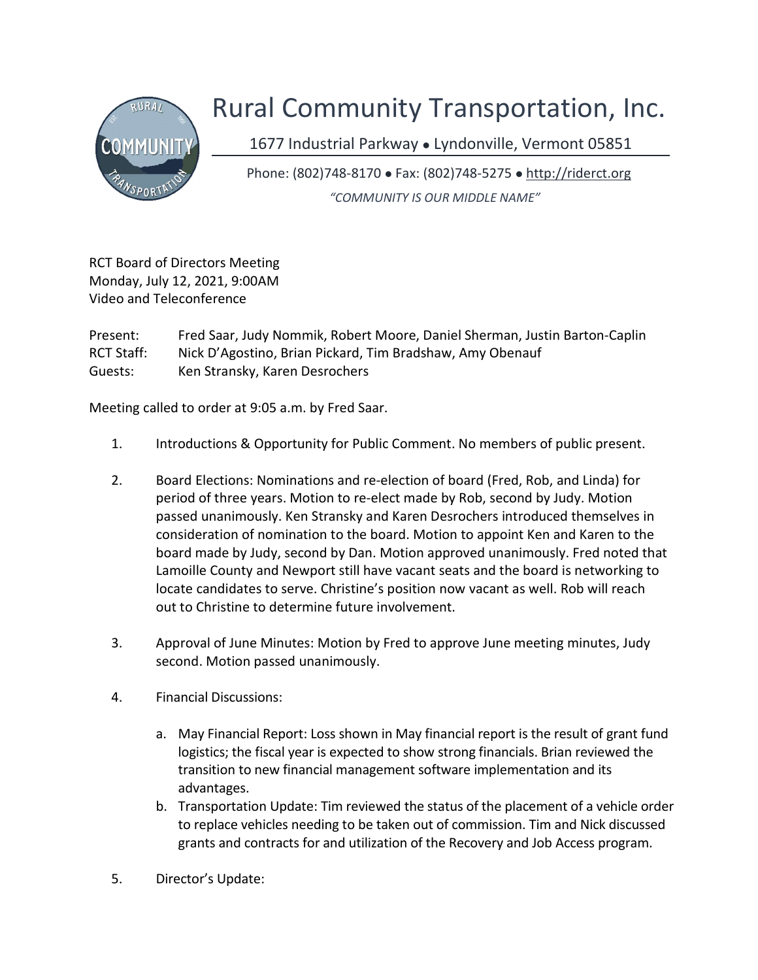

## Rural Community Transportation, Inc.

1677 Industrial Parkway · Lyndonville, Vermont 05851

Phone: (802)748-8170 Fax: (802)748-5275 http://riderct.org "COMMUNITY IS OUR MIDDLE NAME"

RCT Board of Directors Meeting Monday, July 12, 2021, 9:00AM Video and Teleconference

Present: Fred Saar, Judy Nommik, Robert Moore, Daniel Sherman, Justin Barton-Caplin RCT Staff: Nick D'Agostino, Brian Pickard, Tim Bradshaw, Amy Obenauf Guests: Ken Stransky, Karen Desrochers

Meeting called to order at 9:05 a.m. by Fred Saar.

- 1. Introductions & Opportunity for Public Comment. No members of public present.
- 2. Board Elections: Nominations and re-election of board (Fred, Rob, and Linda) for period of three years. Motion to re-elect made by Rob, second by Judy. Motion passed unanimously. Ken Stransky and Karen Desrochers introduced themselves in consideration of nomination to the board. Motion to appoint Ken and Karen to the board made by Judy, second by Dan. Motion approved unanimously. Fred noted that Lamoille County and Newport still have vacant seats and the board is networking to locate candidates to serve. Christine's position now vacant as well. Rob will reach out to Christine to determine future involvement.
- 3. Approval of June Minutes: Motion by Fred to approve June meeting minutes, Judy second. Motion passed unanimously.
- 4. Financial Discussions:
	- a. May Financial Report: Loss shown in May financial report is the result of grant fund logistics; the fiscal year is expected to show strong financials. Brian reviewed the transition to new financial management software implementation and its advantages.
	- b. Transportation Update: Tim reviewed the status of the placement of a vehicle order to replace vehicles needing to be taken out of commission. Tim and Nick discussed grants and contracts for and utilization of the Recovery and Job Access program.
- 5. Director's Update: